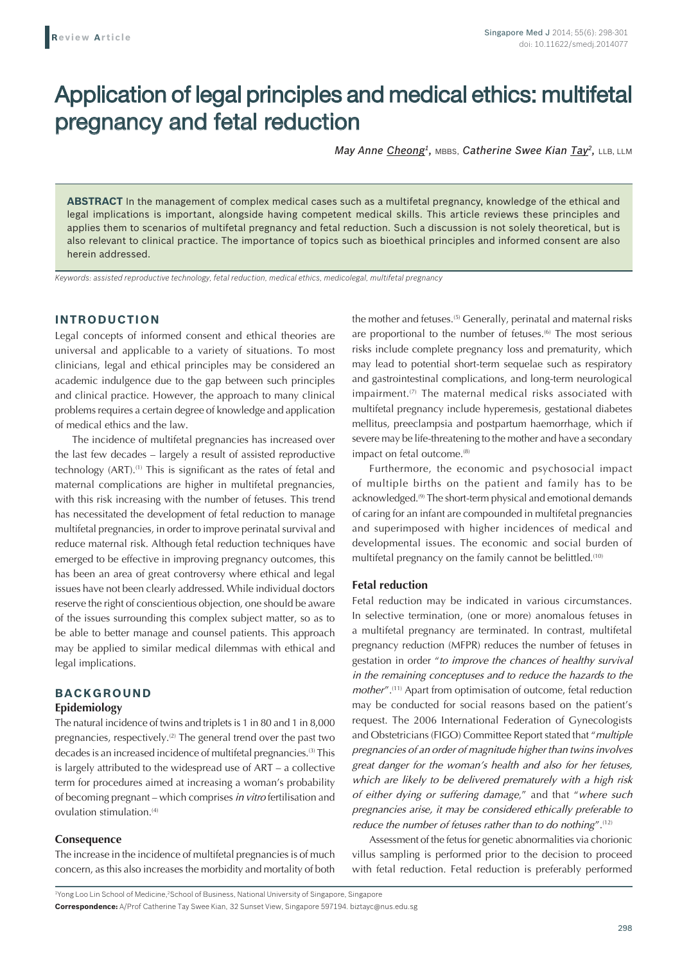# Application of legal principles and medical ethics: multifetal pregnancy and fetal reduction

*May Anne Cheong1,* MBBS, *Catherine Swee Kian Tay2,* LLB, LLM

**ABSTRACT** In the management of complex medical cases such as a multifetal pregnancy, knowledge of the ethical and legal implications is important, alongside having competent medical skills. This article reviews these principles and applies them to scenarios of multifetal pregnancy and fetal reduction. Such a discussion is not solely theoretical, but is also relevant to clinical practice. The importance of topics such as bioethical principles and informed consent are also herein addressed.

*Keywords: assisted reproductive technology, fetal reduction, medical ethics, medicolegal, multifetal pregnancy*

# **INTRODUCTION**

Legal concepts of informed consent and ethical theories are universal and applicable to a variety of situations. To most clinicians, legal and ethical principles may be considered an academic indulgence due to the gap between such principles and clinical practice. However, the approach to many clinical problems requires a certain degree of knowledge and application of medical ethics and the law.

The incidence of multifetal pregnancies has increased over the last few decades – largely a result of assisted reproductive technology (ART).<sup>(1)</sup> This is significant as the rates of fetal and maternal complications are higher in multifetal pregnancies, with this risk increasing with the number of fetuses. This trend has necessitated the development of fetal reduction to manage multifetal pregnancies, in order to improve perinatal survival and reduce maternal risk. Although fetal reduction techniques have emerged to be effective in improving pregnancy outcomes, this has been an area of great controversy where ethical and legal issues have not been clearly addressed. While individual doctors reserve the right of conscientious objection, one should be aware of the issues surrounding this complex subject matter, so as to be able to better manage and counsel patients. This approach may be applied to similar medical dilemmas with ethical and legal implications.

# **BACKGROUND**

#### **Epidemiology**

The natural incidence of twins and triplets is 1 in 80 and 1 in 8,000 pregnancies, respectively.<sup>(2)</sup> The general trend over the past two decades is an increased incidence of multifetal pregnancies.(3) This is largely attributed to the widespread use of ART – a collective term for procedures aimed at increasing a woman's probability of becoming pregnant – which comprises *in vitro* fertilisation and ovulation stimulation.<sup>(4)</sup>

#### **Consequence**

The increase in the incidence of multifetal pregnancies is of much concern, as this also increases the morbidity and mortality of both

the mother and fetuses.<sup>(5)</sup> Generally, perinatal and maternal risks are proportional to the number of fetuses.<sup>(6)</sup> The most serious risks include complete pregnancy loss and prematurity, which may lead to potential short-term sequelae such as respiratory and gastrointestinal complications, and long-term neurological impairment.<sup>(7)</sup> The maternal medical risks associated with multifetal pregnancy include hyperemesis, gestational diabetes mellitus, preeclampsia and postpartum haemorrhage, which if severe may be life-threatening to the mother and have a secondary impact on fetal outcome.<sup>(8)</sup>

Furthermore, the economic and psychosocial impact of multiple births on the patient and family has to be acknowledged.<sup>(9)</sup> The short-term physical and emotional demands of caring for an infant are compounded in multifetal pregnancies and superimposed with higher incidences of medical and developmental issues. The economic and social burden of multifetal pregnancy on the family cannot be belittled.<sup>(10)</sup>

#### **Fetal reduction**

Fetal reduction may be indicated in various circumstances. In selective termination, (one or more) anomalous fetuses in a multifetal pregnancy are terminated. In contrast, multifetal pregnancy reduction (MFPR) reduces the number of fetuses in gestation in order "*to improve the chances of healthy survival in the remaining conceptuses and to reduce the hazards to the mother"*.<sup>(11)</sup> Apart from optimisation of outcome, fetal reduction may be conducted for social reasons based on the patient's request. The 2006 International Federation of Gynecologists and Obstetricians (FIGO) Committee Report stated that "*multiple pregnancies of an order of magnitude higher than twins involves great danger for the woman's health and also for her fetuses, which are likely to be delivered prematurely with a high risk of either dying or suffering damage*," and that "*where such pregnancies arise, it may be considered ethically preferable to reduce the number of fetuses rather than to do nothing"*.<sup>(12)</sup>

Assessment of the fetus for genetic abnormalities via chorionic villus sampling is performed prior to the decision to proceed with fetal reduction. Fetal reduction is preferably performed

<sup>1</sup>Yong Loo Lin School of Medicine,<sup>2</sup>School of Business, National University of Singapore, Singapore **Correspondence:** A/Prof Catherine Tay Swee Kian, 32 Sunset View, Singapore 597194. biztayc@nus.edu.sg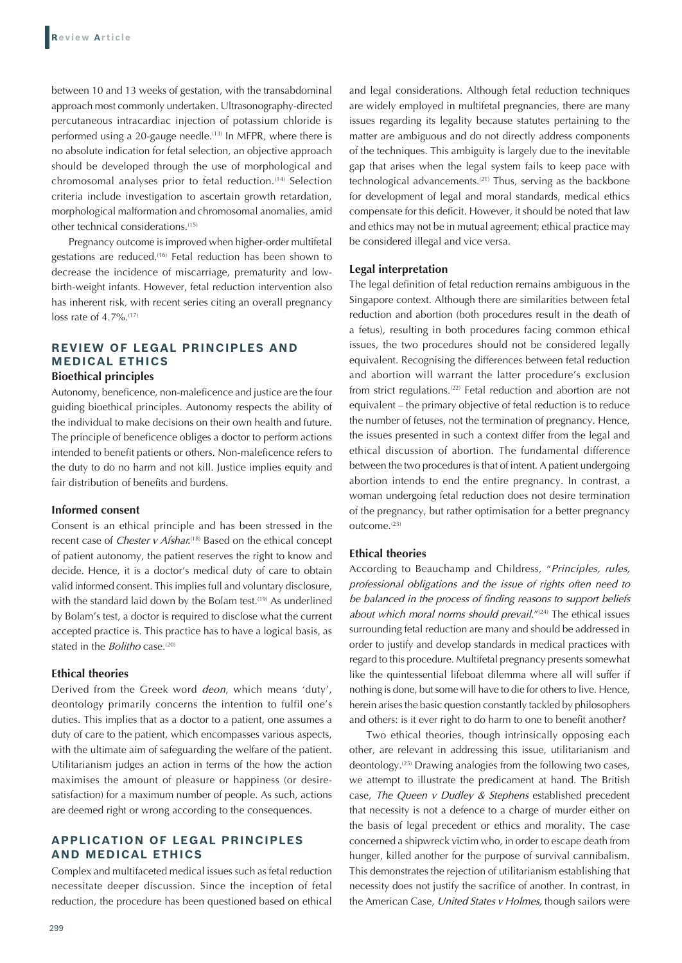between 10 and 13 weeks of gestation, with the transabdominal approach most commonly undertaken. Ultrasonography-directed percutaneous intracardiac injection of potassium chloride is performed using a 20-gauge needle.<sup>(13)</sup> In MFPR, where there is no absolute indication for fetal selection, an objective approach should be developed through the use of morphological and chromosomal analyses prior to fetal reduction.(14) Selection criteria include investigation to ascertain growth retardation, morphological malformation and chromosomal anomalies, amid other technical considerations.(15)

Pregnancy outcome is improved when higher-order multifetal gestations are reduced.(16) Fetal reduction has been shown to decrease the incidence of miscarriage, prematurity and lowbirth-weight infants. However, fetal reduction intervention also has inherent risk, with recent series citing an overall pregnancy loss rate of  $4.7\%$ .<sup>(17)</sup>

# **REVIEW OF LEGAL PRINCIPLES AND MEDICAL ETHICS Bioethical principles**

# Autonomy, beneficence, non-maleficence and justice are the four

guiding bioethical principles. Autonomy respects the ability of the individual to make decisions on their own health and future. The principle of beneficence obliges a doctor to perform actions intended to benefit patients or others. Non-maleficence refers to the duty to do no harm and not kill. Justice implies equity and fair distribution of benefits and burdens.

#### **Informed consent**

Consent is an ethical principle and has been stressed in the recent case of *Chester v Afshar.*<sup>(18)</sup> Based on the ethical concept of patient autonomy, the patient reserves the right to know and decide. Hence, it is a doctor's medical duty of care to obtain valid informed consent. This implies full and voluntary disclosure, with the standard laid down by the Bolam test.<sup>(19)</sup> As underlined by Bolam's test, a doctor is required to disclose what the current accepted practice is. This practice has to have a logical basis, as stated in the *Bolitho* case.<sup>(20)</sup>

#### **Ethical theories**

Derived from the Greek word *deon*, which means 'duty', deontology primarily concerns the intention to fulfil one's duties. This implies that as a doctor to a patient, one assumes a duty of care to the patient, which encompasses various aspects, with the ultimate aim of safeguarding the welfare of the patient. Utilitarianism judges an action in terms of the how the action maximises the amount of pleasure or happiness (or desiresatisfaction) for a maximum number of people. As such, actions are deemed right or wrong according to the consequences.

## **APPLICATION OF LEGAL PRINCIPLES AND MEDICAL ETHICS**

Complex and multifaceted medical issues such as fetal reduction necessitate deeper discussion. Since the inception of fetal reduction, the procedure has been questioned based on ethical and legal considerations. Although fetal reduction techniques are widely employed in multifetal pregnancies, there are many issues regarding its legality because statutes pertaining to the matter are ambiguous and do not directly address components of the techniques. This ambiguity is largely due to the inevitable gap that arises when the legal system fails to keep pace with technological advancements.<sup>(21)</sup> Thus, serving as the backbone for development of legal and moral standards, medical ethics compensate for this deficit. However, it should be noted that law and ethics may not be in mutual agreement; ethical practice may be considered illegal and vice versa.

#### **Legal interpretation**

The legal definition of fetal reduction remains ambiguous in the Singapore context. Although there are similarities between fetal reduction and abortion (both procedures result in the death of a fetus), resulting in both procedures facing common ethical issues, the two procedures should not be considered legally equivalent. Recognising the differences between fetal reduction and abortion will warrant the latter procedure's exclusion from strict regulations.<sup>(22)</sup> Fetal reduction and abortion are not equivalent – the primary objective of fetal reduction is to reduce the number of fetuses, not the termination of pregnancy. Hence, the issues presented in such a context differ from the legal and ethical discussion of abortion. The fundamental difference between the two procedures is that of intent. A patient undergoing abortion intends to end the entire pregnancy. In contrast, a woman undergoing fetal reduction does not desire termination of the pregnancy, but rather optimisation for a better pregnancy outcome.<sup>(23)</sup>

#### **Ethical theories**

According to Beauchamp and Childress, "*Principles, rules, professional obligations and the issue of rights often need to be balanced in the process of finding reasons to support beliefs about which moral norms should prevail."*<sup>(24)</sup> The ethical issues surrounding fetal reduction are many and should be addressed in order to justify and develop standards in medical practices with regard to this procedure. Multifetal pregnancy presents somewhat like the quintessential lifeboat dilemma where all will suffer if nothing is done, but some will have to die for others to live. Hence, herein arises the basic question constantly tackled by philosophers and others: is it ever right to do harm to one to benefit another?

Two ethical theories, though intrinsically opposing each other, are relevant in addressing this issue, utilitarianism and deontology.(25) Drawing analogies from the following two cases, we attempt to illustrate the predicament at hand. The British case, *The Queen v Dudley & Stephens* established precedent that necessity is not a defence to a charge of murder either on the basis of legal precedent or ethics and morality. The case concerned a shipwreck victim who, in order to escape death from hunger, killed another for the purpose of survival cannibalism. This demonstrates the rejection of utilitarianism establishing that necessity does not justify the sacrifice of another. In contrast, in the American Case, *United States v Holmes,* though sailors were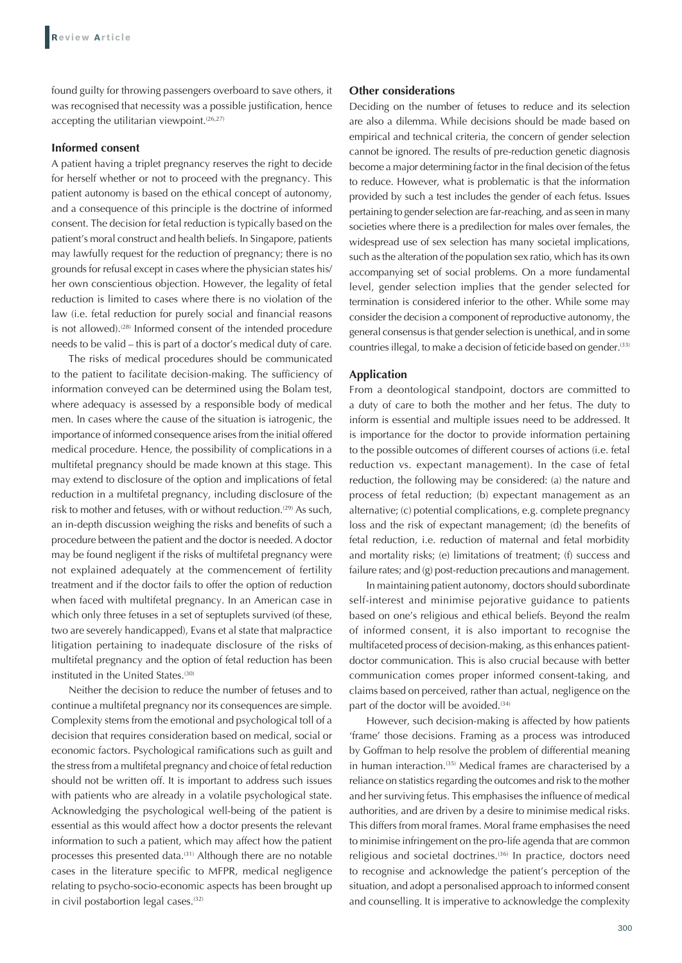found guilty for throwing passengers overboard to save others, it was recognised that necessity was a possible justification, hence accepting the utilitarian viewpoint.<sup>(26,27)</sup>

#### **Informed consent**

A patient having a triplet pregnancy reserves the right to decide for herself whether or not to proceed with the pregnancy. This patient autonomy is based on the ethical concept of autonomy, and a consequence of this principle is the doctrine of informed consent. The decision for fetal reduction is typically based on the patient's moral construct and health beliefs. In Singapore, patients may lawfully request for the reduction of pregnancy; there is no grounds for refusal except in cases where the physician states his/ her own conscientious objection. However, the legality of fetal reduction is limited to cases where there is no violation of the law (i.e. fetal reduction for purely social and financial reasons is not allowed).<sup>(28)</sup> Informed consent of the intended procedure needs to be valid – this is part of a doctor's medical duty of care.

The risks of medical procedures should be communicated to the patient to facilitate decision-making. The sufficiency of information conveyed can be determined using the Bolam test, where adequacy is assessed by a responsible body of medical men. In cases where the cause of the situation is iatrogenic, the importance of informed consequence arises from the initial offered medical procedure. Hence, the possibility of complications in a multifetal pregnancy should be made known at this stage. This may extend to disclosure of the option and implications of fetal reduction in a multifetal pregnancy, including disclosure of the risk to mother and fetuses, with or without reduction.<sup>(29)</sup> As such, an in-depth discussion weighing the risks and benefits of such a procedure between the patient and the doctor is needed. A doctor may be found negligent if the risks of multifetal pregnancy were not explained adequately at the commencement of fertility treatment and if the doctor fails to offer the option of reduction when faced with multifetal pregnancy. In an American case in which only three fetuses in a set of septuplets survived (of these, two are severely handicapped), Evans et al state that malpractice litigation pertaining to inadequate disclosure of the risks of multifetal pregnancy and the option of fetal reduction has been instituted in the United States.(30)

Neither the decision to reduce the number of fetuses and to continue a multifetal pregnancy nor its consequences are simple. Complexity stems from the emotional and psychological toll of a decision that requires consideration based on medical, social or economic factors. Psychological ramifications such as guilt and the stress from a multifetal pregnancy and choice of fetal reduction should not be written off. It is important to address such issues with patients who are already in a volatile psychological state. Acknowledging the psychological well-being of the patient is essential as this would affect how a doctor presents the relevant information to such a patient, which may affect how the patient processes this presented data.<sup>(31)</sup> Although there are no notable cases in the literature specific to MFPR, medical negligence relating to psycho-socio-economic aspects has been brought up in civil postabortion legal cases.<sup>(32)</sup>

#### **Other considerations**

Deciding on the number of fetuses to reduce and its selection are also a dilemma. While decisions should be made based on empirical and technical criteria, the concern of gender selection cannot be ignored. The results of pre-reduction genetic diagnosis become a major determining factor in the final decision of the fetus to reduce. However, what is problematic is that the information provided by such a test includes the gender of each fetus. Issues pertaining to gender selection are far-reaching, and as seen in many societies where there is a predilection for males over females, the widespread use of sex selection has many societal implications, such as the alteration of the population sex ratio, which has its own accompanying set of social problems. On a more fundamental level, gender selection implies that the gender selected for termination is considered inferior to the other. While some may consider the decision a component of reproductive autonomy, the general consensus is that gender selection is unethical, and in some countries illegal, to make a decision of feticide based on gender.<sup>(33)</sup>

#### **Application**

From a deontological standpoint, doctors are committed to a duty of care to both the mother and her fetus. The duty to inform is essential and multiple issues need to be addressed. It is importance for the doctor to provide information pertaining to the possible outcomes of different courses of actions (i.e. fetal reduction vs. expectant management). In the case of fetal reduction, the following may be considered: (a) the nature and process of fetal reduction; (b) expectant management as an alternative; (c) potential complications, e.g. complete pregnancy loss and the risk of expectant management; (d) the benefits of fetal reduction, i.e. reduction of maternal and fetal morbidity and mortality risks; (e) limitations of treatment; (f) success and failure rates; and (g) post-reduction precautions and management.

In maintaining patient autonomy, doctors should subordinate self-interest and minimise pejorative guidance to patients based on one's religious and ethical beliefs. Beyond the realm of informed consent, it is also important to recognise the multifaceted process of decision-making, as this enhances patientdoctor communication. This is also crucial because with better communication comes proper informed consent-taking, and claims based on perceived, rather than actual, negligence on the part of the doctor will be avoided.<sup>(34)</sup>

However, such decision-making is affected by how patients 'frame' those decisions. Framing as a process was introduced by Goffman to help resolve the problem of differential meaning in human interaction.<sup>(35)</sup> Medical frames are characterised by a reliance on statistics regarding the outcomes and risk to the mother and her surviving fetus. This emphasises the influence of medical authorities, and are driven by a desire to minimise medical risks. This differs from moral frames. Moral frame emphasises the need to minimise infringement on the pro-life agenda that are common religious and societal doctrines.<sup>(36)</sup> In practice, doctors need to recognise and acknowledge the patient's perception of the situation, and adopt a personalised approach to informed consent and counselling. It is imperative to acknowledge the complexity